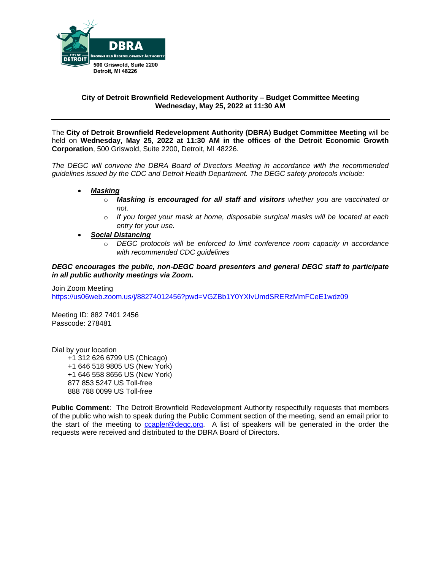

# **City of Detroit Brownfield Redevelopment Authority – Budget Committee Meeting Wednesday, May 25, 2022 at 11:30 AM**

The **City of Detroit Brownfield Redevelopment Authority (DBRA) Budget Committee Meeting** will be held on **Wednesday, May 25, 2022 at 11:30 AM in the offices of the Detroit Economic Growth Corporation**, 500 Griswold, Suite 2200, Detroit, MI 48226.

*The DEGC will convene the DBRA Board of Directors Meeting in accordance with the recommended guidelines issued by the CDC and Detroit Health Department. The DEGC safety protocols include:*

- *Masking*
	- o *Masking is encouraged for all staff and visitors whether you are vaccinated or not.*
	- o *If you forget your mask at home, disposable surgical masks will be located at each entry for your use.*
- *Social Distancing* 
	- o *DEGC protocols will be enforced to limit conference room capacity in accordance with recommended CDC guidelines*

*DEGC encourages the public, non-DEGC board presenters and general DEGC staff to participate in all public authority meetings via Zoom.* 

Join Zoom Meeting <https://us06web.zoom.us/j/88274012456?pwd=VGZBb1Y0YXIvUmdSRERzMmFCeE1wdz09>

Meeting ID: 882 7401 2456 Passcode: 278481

Dial by your location

 +1 312 626 6799 US (Chicago) +1 646 518 9805 US (New York) +1 646 558 8656 US (New York) 877 853 5247 US Toll-free 888 788 0099 US Toll-free

**Public Comment**: The Detroit Brownfield Redevelopment Authority respectfully requests that members of the public who wish to speak during the Public Comment section of the meeting, send an email prior to the start of the meeting to [ccapler@degc.org.](mailto:ccapler@degc.org) A list of speakers will be generated in the order the requests were received and distributed to the DBRA Board of Directors.